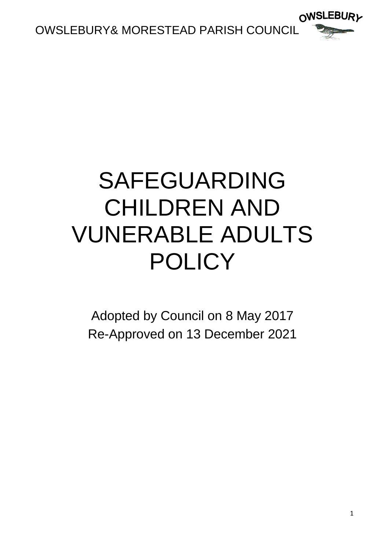

# SAFEGUARDING CHILDREN AND VUNERABLE ADULTS POLICY

Adopted by Council on 8 May 2017 Re-Approved on 13 December 2021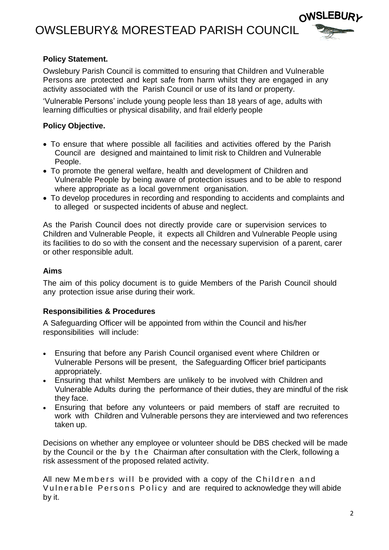OWSLEBURY& MORESTEAD PARISH COUNCIL



#### **Policy Statement.**

Owslebury Parish Council is committed to ensuring that Children and Vulnerable Persons are protected and kept safe from harm whilst they are engaged in any activity associated with the Parish Council or use of its land or property.

'Vulnerable Persons' include young people less than 18 years of age, adults with learning difficulties or physical disability, and frail elderly people

## **Policy Objective.**

- To ensure that where possible all facilities and activities offered by the Parish Council are designed and maintained to limit risk to Children and Vulnerable People.
- To promote the general welfare, health and development of Children and Vulnerable People by being aware of protection issues and to be able to respond where appropriate as a local government organisation.
- To develop procedures in recording and responding to accidents and complaints and to alleged or suspected incidents of abuse and neglect.

As the Parish Council does not directly provide care or supervision services to Children and Vulnerable People, it expects all Children and Vulnerable People using its facilities to do so with the consent and the necessary supervision of a parent, carer or other responsible adult.

#### **Aims**

The aim of this policy document is to guide Members of the Parish Council should any protection issue arise during their work.

## **Responsibilities & Procedures**

A Safeguarding Officer will be appointed from within the Council and his/her responsibilities will include:

- Ensuring that before any Parish Council organised event where Children or Vulnerable Persons will be present, the Safeguarding Officer brief participants appropriately.
- Ensuring that whilst Members are unlikely to be involved with Children and Vulnerable Adults during the performance of their duties, they are mindful of the risk they face.
- Ensuring that before any volunteers or paid members of staff are recruited to work with Children and Vulnerable persons they are interviewed and two references taken up.

Decisions on whether any employee or volunteer should be DBS checked will be made by the Council or the by the Chairman after consultation with the Clerk, following a risk assessment of the proposed related activity.

All new Members will be provided with a copy of the Children and Vulnerable Persons Policy and are required to acknowledge they will abide by it.